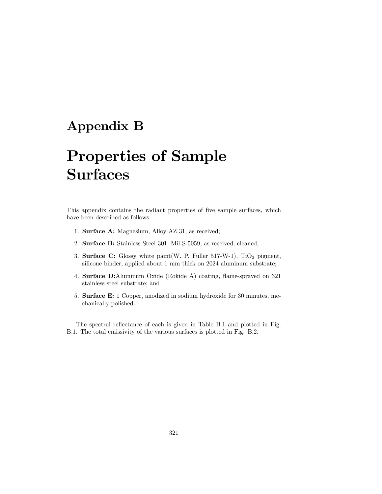## Appendix B

## Properties of Sample Surfaces

This appendix contains the radiant properties of five sample surfaces, which have been described as follows:

- 1. Surface A: Magnesium, Alloy AZ 31, as received;
- 2. Surface B: Stainless Steel 301, Mil-S-5059, as received, cleaned;
- 3. Surface C: Glossy white paint (W. P. Fuller 517-W-1),  $TiO<sub>2</sub>$  pigment, silicone binder, applied about 1 mm thick on 2024 aluminum substrate;
- 4. Surface D:Aluminum Oxide (Rokide A) coating, flame-sprayed on 321 stainless steel substrate; and
- 5. Surface E: 1 Copper, anodized in sodium hydroxide for 30 minutes, mechanically polished.

The spectral reflectance of each is given in Table B.1 and plotted in Fig. B.1. The total emissivity of the various surfaces is plotted in Fig. B.2.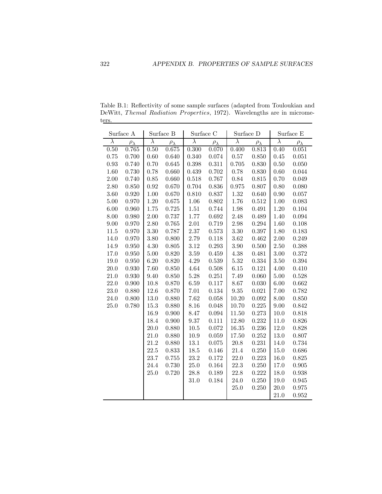| Surface A |                  | Surface B |                  | Surface C |                  | Surface D |                  | Surface E |                  |
|-----------|------------------|-----------|------------------|-----------|------------------|-----------|------------------|-----------|------------------|
| $\lambda$ | $\rho_{\lambda}$ | $\lambda$ | $\rho_{\lambda}$ | $\lambda$ | $\rho_{\lambda}$ | $\lambda$ | $\rho_{\lambda}$ | $\lambda$ | $\rho_{\lambda}$ |
| 0.50      | 0.765            | 0.50      | $0.675\,$        | 0.300     | 0.070            | 0.400     | 0.813            | 0.40      | 0.051            |
| 0.75      | 0.700            | $0.60\,$  | 0.640            | 0.340     | 0.074            | $0.57\,$  | 0.850            | 0.45      | 0.051            |
| 0.93      | 0.740            | 0.70      | $0.645\,$        | 0.398     | 0.311            | 0.705     | 0.830            | 0.50      | 0.050            |
| 1.60      | 0.730            | 0.78      | 0.660            | 0.439     | 0.702            | 0.78      | 0.830            | 0.60      | 0.044            |
| 2.00      | 0.740            | 0.85      | 0.660            | 0.518     | 0.767            | 0.84      | 0.815            | 0.70      | 0.049            |
| 2.80      | 0.850            | 0.92      | 0.670            | 0.704     | 0.836            | 0.975     | 0.807            | 0.80      | 0.080            |
| 3.60      | 0.920            | 1.00      | 0.670            | 0.810     | 0.837            | 1.32      | 0.640            | 0.90      | 0.057            |
| 5.00      | 0.970            | $1.20\,$  | 0.675            | 1.06      | 0.802            | 1.76      | 0.512            | 1.00      | 0.083            |
| 6.00      | 0.960            | 1.75      | 0.725            | $1.51\,$  | $0.744\,$        | 1.98      | 0.491            | 1.20      | 0.104            |
| 8.00      | 0.980            | 2.00      | 0.737            | 1.77      | 0.692            | 2.48      | 0.489            | 1.40      | 0.094            |
| 9.00      | 0.970            | 2.80      | 0.765            | $2.01\,$  | 0.719            | 2.98      | 0.294            | 1.60      | 0.108            |
| 11.5      | 0.970            | 3.30      | 0.787            | 2.37      | 0.573            | 3.30      | 0.397            | 1.80      | 0.183            |
| 14.0      | 0.970            | 3.80      | 0.800            | 2.79      | 0.118            | 3.62      | 0.462            | 2.00      | 0.249            |
| 14.9      | 0.950            | 4.30      | 0.805            | 3.12      | 0.293            | 3.90      | 0.500            | 2.50      | 0.388            |
| 17.0      | 0.950            | 5.00      | 0.820            | 3.59      | 0.459            | 4.38      | 0.481            | 3.00      | 0.372            |
| 19.0      | 0.950            | $6.20\,$  | 0.820            | 4.29      | 0.539            | 5.32      | 0.334            | 3.50      | 0.394            |
| 20.0      | 0.930            | 7.60      | 0.850            | 4.64      | 0.508            | 6.15      | 0.121            | 4.00      | 0.410            |
| 21.0      | 0.930            | 9.40      | 0.850            | $5.28\,$  | 0.251            | 7.49      | 0.060            | $5.00\,$  | 0.528            |
| 22.0      | 0.900            | 10.8      | 0.870            | 6.59      | 0.117            | 8.67      | 0.030            | 6.00      | 0.662            |
| 23.0      | 0.880            | 12.6      | 0.870            | $7.01\,$  | 0.134            | 9.35      | 0.021            | 7.00      | 0.782            |
| 24.0      | 0.800            | 13.0      | 0.880            | 7.62      | 0.058            | 10.20     | 0.092            | 8.00      | 0.850            |
| 25.0      | 0.780            | 15.3      | 0.880            | 8.16      | 0.048            | 10.70     | 0.225            | 9.00      | 0.842            |
|           |                  | 16.9      | 0.900            | 8.47      | 0.094            | 11.50     | 0.273            | $10.0\,$  | 0.818            |
|           |                  | 18.4      | 0.900            | 9.37      | 0.111            | 12.80     | 0.232            | 11.0      | 0.826            |
|           |                  | 20.0      | 0.880            | $10.5\,$  | 0.072            | 16.35     | 0.236            | 12.0      | 0.828            |
|           |                  | 21.0      | 0.880            | 10.9      | 0.059            | 17.50     | 0.252            | 13.0      | 0.807            |
|           |                  | 21.2      | 0.880            | $13.1\,$  | 0.075            | $20.8\,$  | 0.231            | 14.0      | 0.734            |
|           |                  | 22.5      | 0.833            | $18.5\,$  | 0.146            | 21.4      | 0.250            | $15.0\,$  | 0.686            |
|           |                  | 23.7      | 0.755            | $23.2\,$  | 0.172            | 22.0      | 0.223            | 16.0      | 0.825            |
|           |                  | 24.4      | 0.730            | 25.0      | 0.164            | 22.3      | 0.250            | 17.0      | $\,0.905\,$      |
|           |                  | 25.0      | 0.720            | 28.8      | 0.189            | $22.8\,$  | 0.222            | 18.0      | 0.938            |
|           |                  |           |                  | 31.0      | 0.184            | 24.0      | 0.250            | 19.0      | $\,0.945\,$      |
|           |                  |           |                  |           |                  | 25.0      | $0.250\,$        | 20.0      | 0.975            |
|           |                  |           |                  |           |                  |           |                  | 21.0      | $\,0.952\,$      |

Table B.1: Reflectivity of some sample surfaces (adapted from Touloukian and DeWitt, Themal Radiation Properties, 1972). Wavelengths are in micrometers.